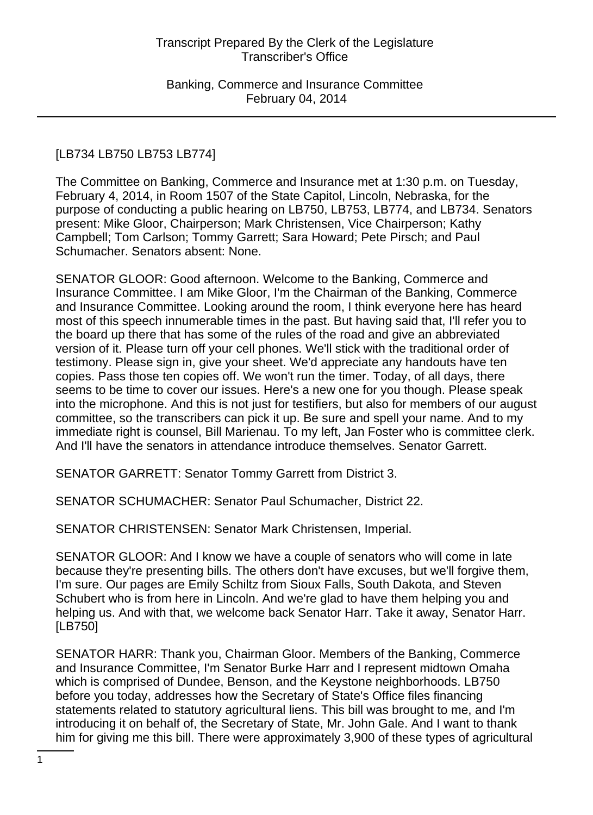# [LB734 LB750 LB753 LB774]

The Committee on Banking, Commerce and Insurance met at 1:30 p.m. on Tuesday, February 4, 2014, in Room 1507 of the State Capitol, Lincoln, Nebraska, for the purpose of conducting a public hearing on LB750, LB753, LB774, and LB734. Senators present: Mike Gloor, Chairperson; Mark Christensen, Vice Chairperson; Kathy Campbell; Tom Carlson; Tommy Garrett; Sara Howard; Pete Pirsch; and Paul Schumacher. Senators absent: None.

SENATOR GLOOR: Good afternoon. Welcome to the Banking, Commerce and Insurance Committee. I am Mike Gloor, I'm the Chairman of the Banking, Commerce and Insurance Committee. Looking around the room, I think everyone here has heard most of this speech innumerable times in the past. But having said that, I'll refer you to the board up there that has some of the rules of the road and give an abbreviated version of it. Please turn off your cell phones. We'll stick with the traditional order of testimony. Please sign in, give your sheet. We'd appreciate any handouts have ten copies. Pass those ten copies off. We won't run the timer. Today, of all days, there seems to be time to cover our issues. Here's a new one for you though. Please speak into the microphone. And this is not just for testifiers, but also for members of our august committee, so the transcribers can pick it up. Be sure and spell your name. And to my immediate right is counsel, Bill Marienau. To my left, Jan Foster who is committee clerk. And I'll have the senators in attendance introduce themselves. Senator Garrett.

SENATOR GARRETT: Senator Tommy Garrett from District 3.

SENATOR SCHUMACHER: Senator Paul Schumacher, District 22.

SENATOR CHRISTENSEN: Senator Mark Christensen, Imperial.

SENATOR GLOOR: And I know we have a couple of senators who will come in late because they're presenting bills. The others don't have excuses, but we'll forgive them, I'm sure. Our pages are Emily Schiltz from Sioux Falls, South Dakota, and Steven Schubert who is from here in Lincoln. And we're glad to have them helping you and helping us. And with that, we welcome back Senator Harr. Take it away, Senator Harr. [LB750]

SENATOR HARR: Thank you, Chairman Gloor. Members of the Banking, Commerce and Insurance Committee, I'm Senator Burke Harr and I represent midtown Omaha which is comprised of Dundee, Benson, and the Keystone neighborhoods. LB750 before you today, addresses how the Secretary of State's Office files financing statements related to statutory agricultural liens. This bill was brought to me, and I'm introducing it on behalf of, the Secretary of State, Mr. John Gale. And I want to thank him for giving me this bill. There were approximately 3,900 of these types of agricultural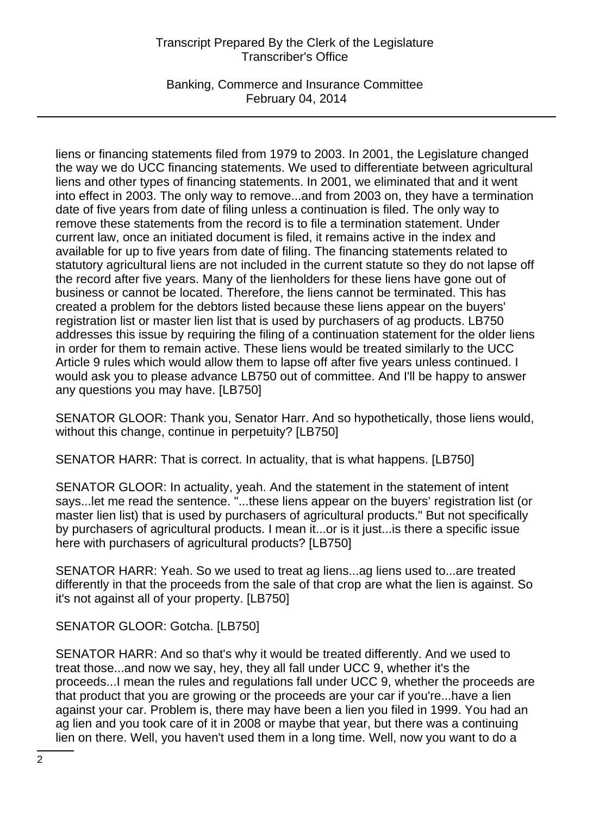Banking, Commerce and Insurance Committee February 04, 2014

liens or financing statements filed from 1979 to 2003. In 2001, the Legislature changed the way we do UCC financing statements. We used to differentiate between agricultural liens and other types of financing statements. In 2001, we eliminated that and it went into effect in 2003. The only way to remove...and from 2003 on, they have a termination date of five years from date of filing unless a continuation is filed. The only way to remove these statements from the record is to file a termination statement. Under current law, once an initiated document is filed, it remains active in the index and available for up to five years from date of filing. The financing statements related to statutory agricultural liens are not included in the current statute so they do not lapse off the record after five years. Many of the lienholders for these liens have gone out of business or cannot be located. Therefore, the liens cannot be terminated. This has created a problem for the debtors listed because these liens appear on the buyers' registration list or master lien list that is used by purchasers of ag products. LB750 addresses this issue by requiring the filing of a continuation statement for the older liens in order for them to remain active. These liens would be treated similarly to the UCC Article 9 rules which would allow them to lapse off after five years unless continued. I would ask you to please advance LB750 out of committee. And I'll be happy to answer any questions you may have. [LB750]

SENATOR GLOOR: Thank you, Senator Harr. And so hypothetically, those liens would, without this change, continue in perpetuity? [LB750]

SENATOR HARR: That is correct. In actuality, that is what happens. [LB750]

SENATOR GLOOR: In actuality, yeah. And the statement in the statement of intent says...let me read the sentence. "...these liens appear on the buyers' registration list (or master lien list) that is used by purchasers of agricultural products." But not specifically by purchasers of agricultural products. I mean it...or is it just...is there a specific issue here with purchasers of agricultural products? [LB750]

SENATOR HARR: Yeah. So we used to treat ag liens...ag liens used to...are treated differently in that the proceeds from the sale of that crop are what the lien is against. So it's not against all of your property. [LB750]

SENATOR GLOOR: Gotcha. [LB750]

SENATOR HARR: And so that's why it would be treated differently. And we used to treat those...and now we say, hey, they all fall under UCC 9, whether it's the proceeds...I mean the rules and regulations fall under UCC 9, whether the proceeds are that product that you are growing or the proceeds are your car if you're...have a lien against your car. Problem is, there may have been a lien you filed in 1999. You had an ag lien and you took care of it in 2008 or maybe that year, but there was a continuing lien on there. Well, you haven't used them in a long time. Well, now you want to do a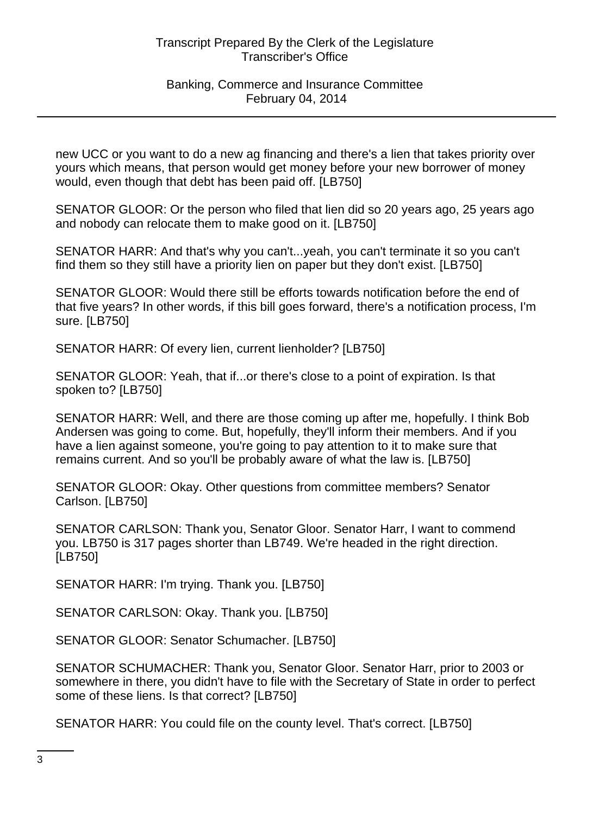### Banking, Commerce and Insurance Committee February 04, 2014

new UCC or you want to do a new ag financing and there's a lien that takes priority over yours which means, that person would get money before your new borrower of money would, even though that debt has been paid off. [LB750]

SENATOR GLOOR: Or the person who filed that lien did so 20 years ago, 25 years ago and nobody can relocate them to make good on it. [LB750]

SENATOR HARR: And that's why you can't...yeah, you can't terminate it so you can't find them so they still have a priority lien on paper but they don't exist. [LB750]

SENATOR GLOOR: Would there still be efforts towards notification before the end of that five years? In other words, if this bill goes forward, there's a notification process, I'm sure. [LB750]

SENATOR HARR: Of every lien, current lienholder? [LB750]

SENATOR GLOOR: Yeah, that if...or there's close to a point of expiration. Is that spoken to? [LB750]

SENATOR HARR: Well, and there are those coming up after me, hopefully. I think Bob Andersen was going to come. But, hopefully, they'll inform their members. And if you have a lien against someone, you're going to pay attention to it to make sure that remains current. And so you'll be probably aware of what the law is. [LB750]

SENATOR GLOOR: Okay. Other questions from committee members? Senator Carlson. [LB750]

SENATOR CARLSON: Thank you, Senator Gloor. Senator Harr, I want to commend you. LB750 is 317 pages shorter than LB749. We're headed in the right direction. [LB750]

SENATOR HARR: I'm trying. Thank you. [LB750]

SENATOR CARLSON: Okay. Thank you. [LB750]

SENATOR GLOOR: Senator Schumacher. [LB750]

SENATOR SCHUMACHER: Thank you, Senator Gloor. Senator Harr, prior to 2003 or somewhere in there, you didn't have to file with the Secretary of State in order to perfect some of these liens. Is that correct? [LB750]

SENATOR HARR: You could file on the county level. That's correct. [LB750]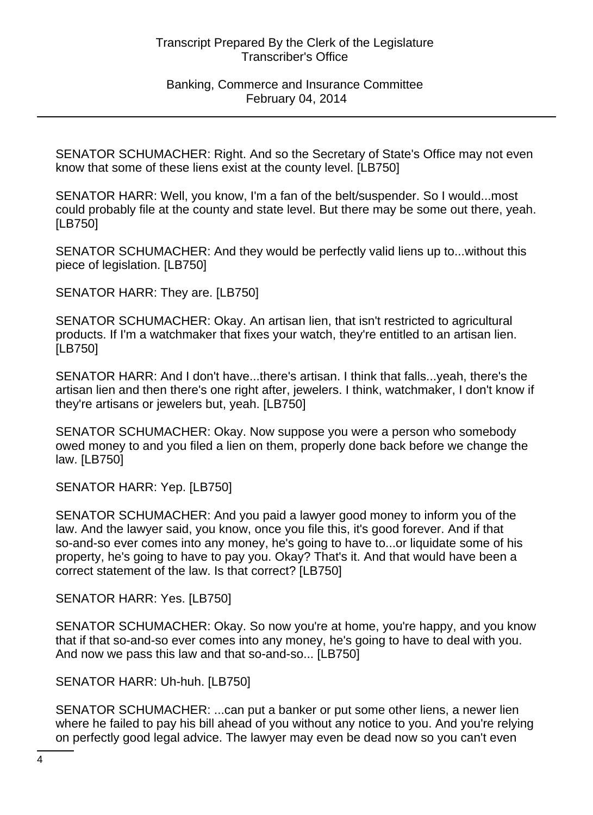Banking, Commerce and Insurance Committee February 04, 2014

SENATOR SCHUMACHER: Right. And so the Secretary of State's Office may not even know that some of these liens exist at the county level. [LB750]

SENATOR HARR: Well, you know, I'm a fan of the belt/suspender. So I would...most could probably file at the county and state level. But there may be some out there, yeah. [LB750]

SENATOR SCHUMACHER: And they would be perfectly valid liens up to...without this piece of legislation. [LB750]

SENATOR HARR: They are. [LB750]

SENATOR SCHUMACHER: Okay. An artisan lien, that isn't restricted to agricultural products. If I'm a watchmaker that fixes your watch, they're entitled to an artisan lien. [LB750]

SENATOR HARR: And I don't have...there's artisan. I think that falls...yeah, there's the artisan lien and then there's one right after, jewelers. I think, watchmaker, I don't know if they're artisans or jewelers but, yeah. [LB750]

SENATOR SCHUMACHER: Okay. Now suppose you were a person who somebody owed money to and you filed a lien on them, properly done back before we change the law. [LB750]

SENATOR HARR: Yep. [LB750]

SENATOR SCHUMACHER: And you paid a lawyer good money to inform you of the law. And the lawyer said, you know, once you file this, it's good forever. And if that so-and-so ever comes into any money, he's going to have to...or liquidate some of his property, he's going to have to pay you. Okay? That's it. And that would have been a correct statement of the law. Is that correct? [LB750]

SENATOR HARR: Yes. [LB750]

SENATOR SCHUMACHER: Okay. So now you're at home, you're happy, and you know that if that so-and-so ever comes into any money, he's going to have to deal with you. And now we pass this law and that so-and-so... [LB750]

SENATOR HARR: Uh-huh. [LB750]

SENATOR SCHUMACHER: ...can put a banker or put some other liens, a newer lien where he failed to pay his bill ahead of you without any notice to you. And you're relying on perfectly good legal advice. The lawyer may even be dead now so you can't even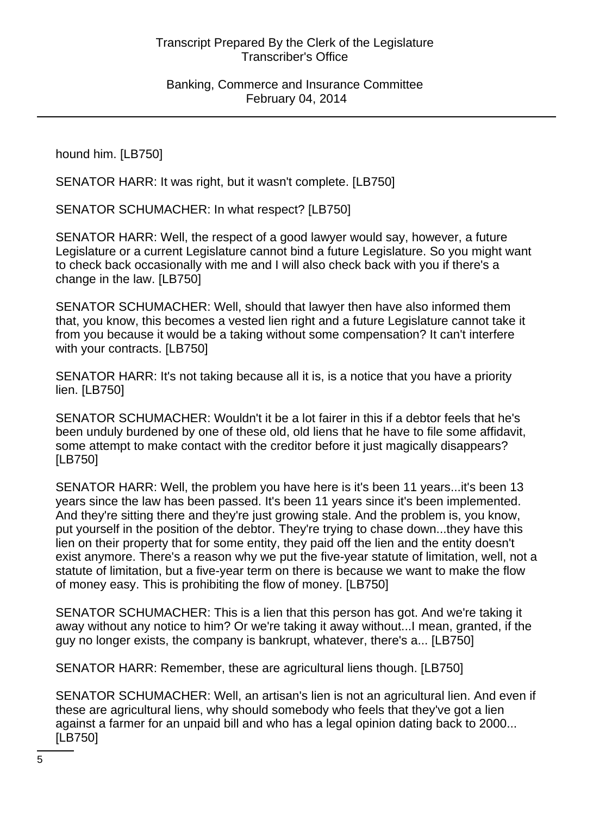hound him. [LB750]

SENATOR HARR: It was right, but it wasn't complete. [LB750]

SENATOR SCHUMACHER: In what respect? [LB750]

SENATOR HARR: Well, the respect of a good lawyer would say, however, a future Legislature or a current Legislature cannot bind a future Legislature. So you might want to check back occasionally with me and I will also check back with you if there's a change in the law. [LB750]

SENATOR SCHUMACHER: Well, should that lawyer then have also informed them that, you know, this becomes a vested lien right and a future Legislature cannot take it from you because it would be a taking without some compensation? It can't interfere with your contracts. [LB750]

SENATOR HARR: It's not taking because all it is, is a notice that you have a priority lien. [LB750]

SENATOR SCHUMACHER: Wouldn't it be a lot fairer in this if a debtor feels that he's been unduly burdened by one of these old, old liens that he have to file some affidavit, some attempt to make contact with the creditor before it just magically disappears? [LB750]

SENATOR HARR: Well, the problem you have here is it's been 11 years...it's been 13 years since the law has been passed. It's been 11 years since it's been implemented. And they're sitting there and they're just growing stale. And the problem is, you know, put yourself in the position of the debtor. They're trying to chase down...they have this lien on their property that for some entity, they paid off the lien and the entity doesn't exist anymore. There's a reason why we put the five-year statute of limitation, well, not a statute of limitation, but a five-year term on there is because we want to make the flow of money easy. This is prohibiting the flow of money. [LB750]

SENATOR SCHUMACHER: This is a lien that this person has got. And we're taking it away without any notice to him? Or we're taking it away without...I mean, granted, if the guy no longer exists, the company is bankrupt, whatever, there's a... [LB750]

SENATOR HARR: Remember, these are agricultural liens though. [LB750]

SENATOR SCHUMACHER: Well, an artisan's lien is not an agricultural lien. And even if these are agricultural liens, why should somebody who feels that they've got a lien against a farmer for an unpaid bill and who has a legal opinion dating back to 2000... [LB750]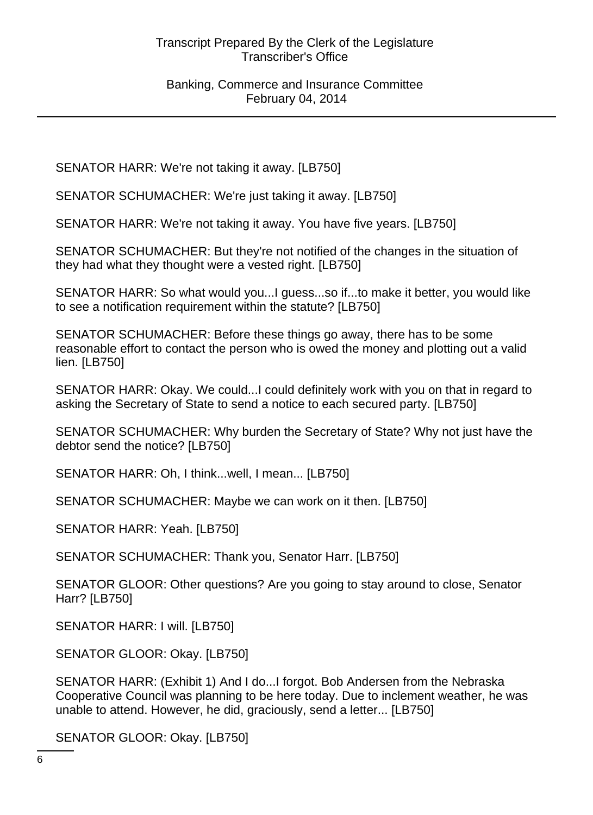SENATOR HARR: We're not taking it away. [LB750]

SENATOR SCHUMACHER: We're just taking it away. [LB750]

SENATOR HARR: We're not taking it away. You have five years. [LB750]

SENATOR SCHUMACHER: But they're not notified of the changes in the situation of they had what they thought were a vested right. [LB750]

SENATOR HARR: So what would you...I guess...so if...to make it better, you would like to see a notification requirement within the statute? [LB750]

SENATOR SCHUMACHER: Before these things go away, there has to be some reasonable effort to contact the person who is owed the money and plotting out a valid lien. [LB750]

SENATOR HARR: Okay. We could...I could definitely work with you on that in regard to asking the Secretary of State to send a notice to each secured party. [LB750]

SENATOR SCHUMACHER: Why burden the Secretary of State? Why not just have the debtor send the notice? [LB750]

SENATOR HARR: Oh, I think...well, I mean... [LB750]

SENATOR SCHUMACHER: Maybe we can work on it then. [LB750]

SENATOR HARR: Yeah. [LB750]

SENATOR SCHUMACHER: Thank you, Senator Harr. [LB750]

SENATOR GLOOR: Other questions? Are you going to stay around to close, Senator Harr? [LB750]

SENATOR HARR: I will. [LB750]

SENATOR GLOOR: Okay. [LB750]

SENATOR HARR: (Exhibit 1) And I do...I forgot. Bob Andersen from the Nebraska Cooperative Council was planning to be here today. Due to inclement weather, he was unable to attend. However, he did, graciously, send a letter... [LB750]

SENATOR GLOOR: Okay. [LB750]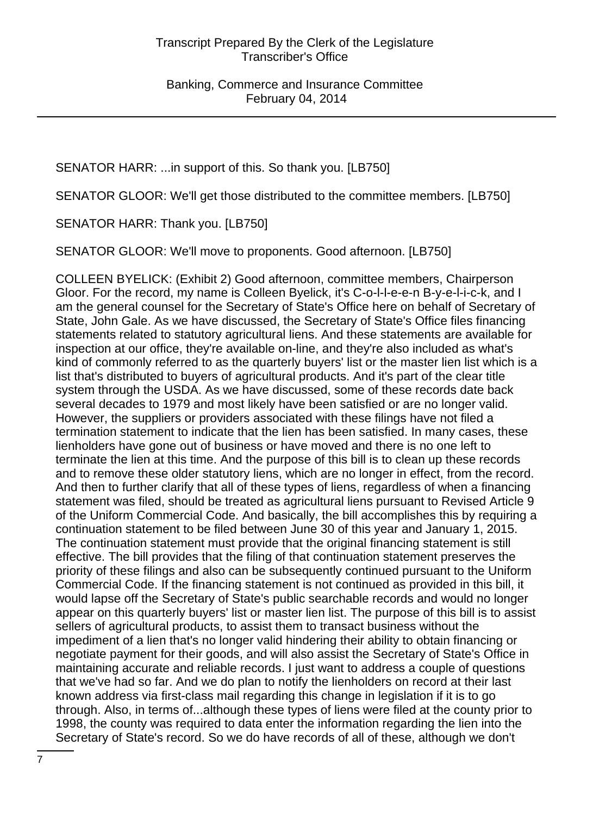SENATOR HARR: ...in support of this. So thank you. [LB750]

SENATOR GLOOR: We'll get those distributed to the committee members. [LB750]

SENATOR HARR: Thank you. [LB750]

SENATOR GLOOR: We'll move to proponents. Good afternoon. [LB750]

COLLEEN BYELICK: (Exhibit 2) Good afternoon, committee members, Chairperson Gloor. For the record, my name is Colleen Byelick, it's C-o-l-l-e-e-n B-y-e-l-i-c-k, and I am the general counsel for the Secretary of State's Office here on behalf of Secretary of State, John Gale. As we have discussed, the Secretary of State's Office files financing statements related to statutory agricultural liens. And these statements are available for inspection at our office, they're available on-line, and they're also included as what's kind of commonly referred to as the quarterly buyers' list or the master lien list which is a list that's distributed to buyers of agricultural products. And it's part of the clear title system through the USDA. As we have discussed, some of these records date back several decades to 1979 and most likely have been satisfied or are no longer valid. However, the suppliers or providers associated with these filings have not filed a termination statement to indicate that the lien has been satisfied. In many cases, these lienholders have gone out of business or have moved and there is no one left to terminate the lien at this time. And the purpose of this bill is to clean up these records and to remove these older statutory liens, which are no longer in effect, from the record. And then to further clarify that all of these types of liens, regardless of when a financing statement was filed, should be treated as agricultural liens pursuant to Revised Article 9 of the Uniform Commercial Code. And basically, the bill accomplishes this by requiring a continuation statement to be filed between June 30 of this year and January 1, 2015. The continuation statement must provide that the original financing statement is still effective. The bill provides that the filing of that continuation statement preserves the priority of these filings and also can be subsequently continued pursuant to the Uniform Commercial Code. If the financing statement is not continued as provided in this bill, it would lapse off the Secretary of State's public searchable records and would no longer appear on this quarterly buyers' list or master lien list. The purpose of this bill is to assist sellers of agricultural products, to assist them to transact business without the impediment of a lien that's no longer valid hindering their ability to obtain financing or negotiate payment for their goods, and will also assist the Secretary of State's Office in maintaining accurate and reliable records. I just want to address a couple of questions that we've had so far. And we do plan to notify the lienholders on record at their last known address via first-class mail regarding this change in legislation if it is to go through. Also, in terms of...although these types of liens were filed at the county prior to 1998, the county was required to data enter the information regarding the lien into the Secretary of State's record. So we do have records of all of these, although we don't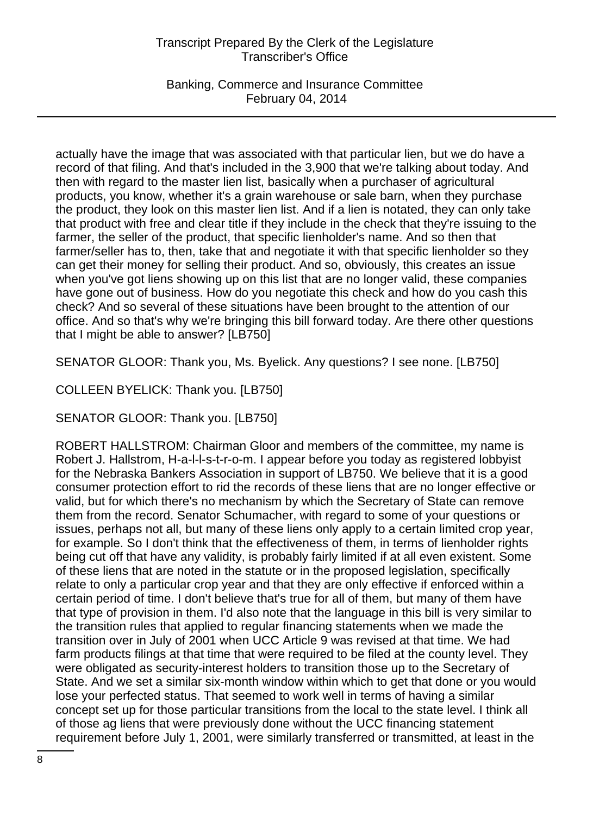Banking, Commerce and Insurance Committee February 04, 2014

actually have the image that was associated with that particular lien, but we do have a record of that filing. And that's included in the 3,900 that we're talking about today. And then with regard to the master lien list, basically when a purchaser of agricultural products, you know, whether it's a grain warehouse or sale barn, when they purchase the product, they look on this master lien list. And if a lien is notated, they can only take that product with free and clear title if they include in the check that they're issuing to the farmer, the seller of the product, that specific lienholder's name. And so then that farmer/seller has to, then, take that and negotiate it with that specific lienholder so they can get their money for selling their product. And so, obviously, this creates an issue when you've got liens showing up on this list that are no longer valid, these companies have gone out of business. How do you negotiate this check and how do you cash this check? And so several of these situations have been brought to the attention of our office. And so that's why we're bringing this bill forward today. Are there other questions that I might be able to answer? [LB750]

SENATOR GLOOR: Thank you, Ms. Byelick. Any questions? I see none. [LB750]

COLLEEN BYELICK: Thank you. [LB750]

SENATOR GLOOR: Thank you. [LB750]

ROBERT HALLSTROM: Chairman Gloor and members of the committee, my name is Robert J. Hallstrom, H-a-l-l-s-t-r-o-m. I appear before you today as registered lobbyist for the Nebraska Bankers Association in support of LB750. We believe that it is a good consumer protection effort to rid the records of these liens that are no longer effective or valid, but for which there's no mechanism by which the Secretary of State can remove them from the record. Senator Schumacher, with regard to some of your questions or issues, perhaps not all, but many of these liens only apply to a certain limited crop year, for example. So I don't think that the effectiveness of them, in terms of lienholder rights being cut off that have any validity, is probably fairly limited if at all even existent. Some of these liens that are noted in the statute or in the proposed legislation, specifically relate to only a particular crop year and that they are only effective if enforced within a certain period of time. I don't believe that's true for all of them, but many of them have that type of provision in them. I'd also note that the language in this bill is very similar to the transition rules that applied to regular financing statements when we made the transition over in July of 2001 when UCC Article 9 was revised at that time. We had farm products filings at that time that were required to be filed at the county level. They were obligated as security-interest holders to transition those up to the Secretary of State. And we set a similar six-month window within which to get that done or you would lose your perfected status. That seemed to work well in terms of having a similar concept set up for those particular transitions from the local to the state level. I think all of those ag liens that were previously done without the UCC financing statement requirement before July 1, 2001, were similarly transferred or transmitted, at least in the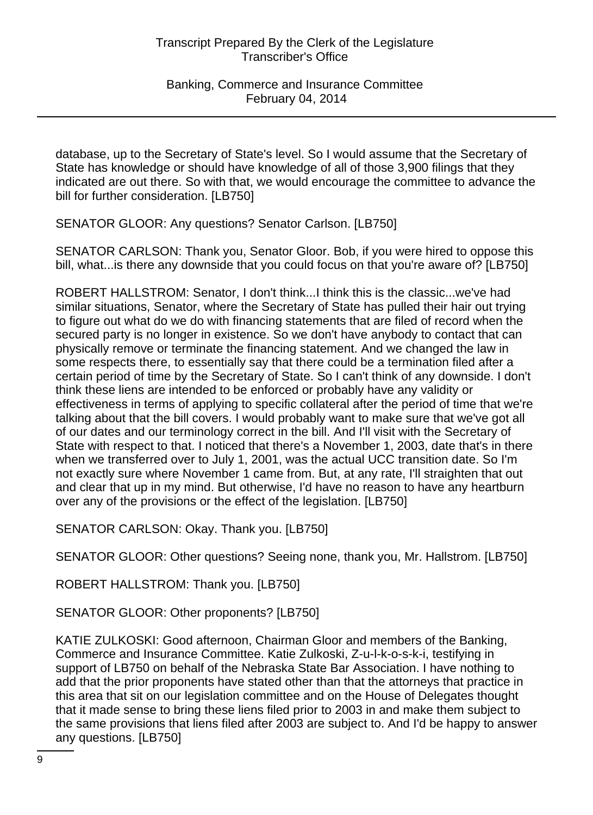database, up to the Secretary of State's level. So I would assume that the Secretary of State has knowledge or should have knowledge of all of those 3,900 filings that they indicated are out there. So with that, we would encourage the committee to advance the bill for further consideration. [LB750]

SENATOR GLOOR: Any questions? Senator Carlson. [LB750]

SENATOR CARLSON: Thank you, Senator Gloor. Bob, if you were hired to oppose this bill, what...is there any downside that you could focus on that you're aware of? [LB750]

ROBERT HALLSTROM: Senator, I don't think...I think this is the classic...we've had similar situations, Senator, where the Secretary of State has pulled their hair out trying to figure out what do we do with financing statements that are filed of record when the secured party is no longer in existence. So we don't have anybody to contact that can physically remove or terminate the financing statement. And we changed the law in some respects there, to essentially say that there could be a termination filed after a certain period of time by the Secretary of State. So I can't think of any downside. I don't think these liens are intended to be enforced or probably have any validity or effectiveness in terms of applying to specific collateral after the period of time that we're talking about that the bill covers. I would probably want to make sure that we've got all of our dates and our terminology correct in the bill. And I'll visit with the Secretary of State with respect to that. I noticed that there's a November 1, 2003, date that's in there when we transferred over to July 1, 2001, was the actual UCC transition date. So I'm not exactly sure where November 1 came from. But, at any rate, I'll straighten that out and clear that up in my mind. But otherwise, I'd have no reason to have any heartburn over any of the provisions or the effect of the legislation. [LB750]

SENATOR CARLSON: Okay. Thank you. [LB750]

SENATOR GLOOR: Other questions? Seeing none, thank you, Mr. Hallstrom. [LB750]

ROBERT HALLSTROM: Thank you. [LB750]

SENATOR GLOOR: Other proponents? [LB750]

KATIE ZULKOSKI: Good afternoon, Chairman Gloor and members of the Banking, Commerce and Insurance Committee. Katie Zulkoski, Z-u-l-k-o-s-k-i, testifying in support of LB750 on behalf of the Nebraska State Bar Association. I have nothing to add that the prior proponents have stated other than that the attorneys that practice in this area that sit on our legislation committee and on the House of Delegates thought that it made sense to bring these liens filed prior to 2003 in and make them subject to the same provisions that liens filed after 2003 are subject to. And I'd be happy to answer any questions. [LB750]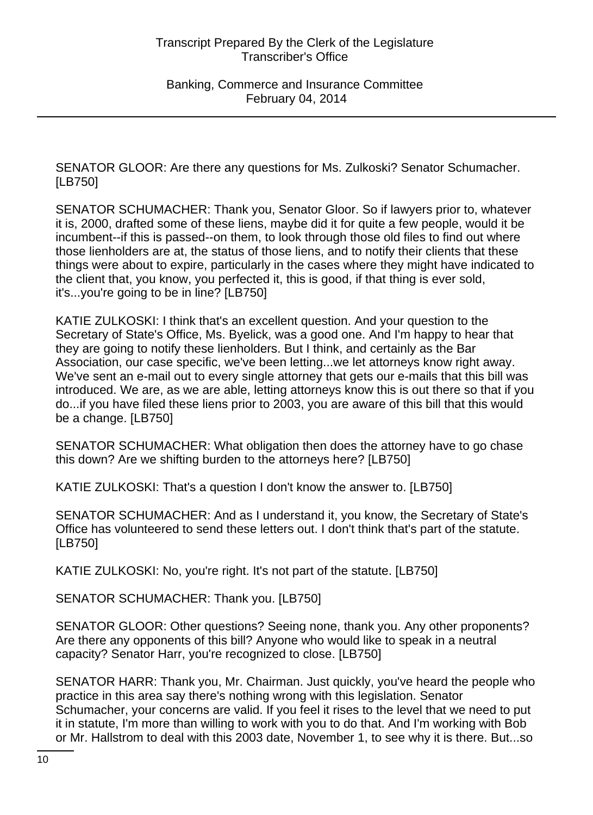SENATOR GLOOR: Are there any questions for Ms. Zulkoski? Senator Schumacher. [LB750]

SENATOR SCHUMACHER: Thank you, Senator Gloor. So if lawyers prior to, whatever it is, 2000, drafted some of these liens, maybe did it for quite a few people, would it be incumbent--if this is passed--on them, to look through those old files to find out where those lienholders are at, the status of those liens, and to notify their clients that these things were about to expire, particularly in the cases where they might have indicated to the client that, you know, you perfected it, this is good, if that thing is ever sold, it's...you're going to be in line? [LB750]

KATIE ZULKOSKI: I think that's an excellent question. And your question to the Secretary of State's Office, Ms. Byelick, was a good one. And I'm happy to hear that they are going to notify these lienholders. But I think, and certainly as the Bar Association, our case specific, we've been letting...we let attorneys know right away. We've sent an e-mail out to every single attorney that gets our e-mails that this bill was introduced. We are, as we are able, letting attorneys know this is out there so that if you do...if you have filed these liens prior to 2003, you are aware of this bill that this would be a change. [LB750]

SENATOR SCHUMACHER: What obligation then does the attorney have to go chase this down? Are we shifting burden to the attorneys here? [LB750]

KATIE ZULKOSKI: That's a question I don't know the answer to. [LB750]

SENATOR SCHUMACHER: And as I understand it, you know, the Secretary of State's Office has volunteered to send these letters out. I don't think that's part of the statute. [LB750]

KATIE ZULKOSKI: No, you're right. It's not part of the statute. [LB750]

SENATOR SCHUMACHER: Thank you. [LB750]

SENATOR GLOOR: Other questions? Seeing none, thank you. Any other proponents? Are there any opponents of this bill? Anyone who would like to speak in a neutral capacity? Senator Harr, you're recognized to close. [LB750]

SENATOR HARR: Thank you, Mr. Chairman. Just quickly, you've heard the people who practice in this area say there's nothing wrong with this legislation. Senator Schumacher, your concerns are valid. If you feel it rises to the level that we need to put it in statute, I'm more than willing to work with you to do that. And I'm working with Bob or Mr. Hallstrom to deal with this 2003 date, November 1, to see why it is there. But...so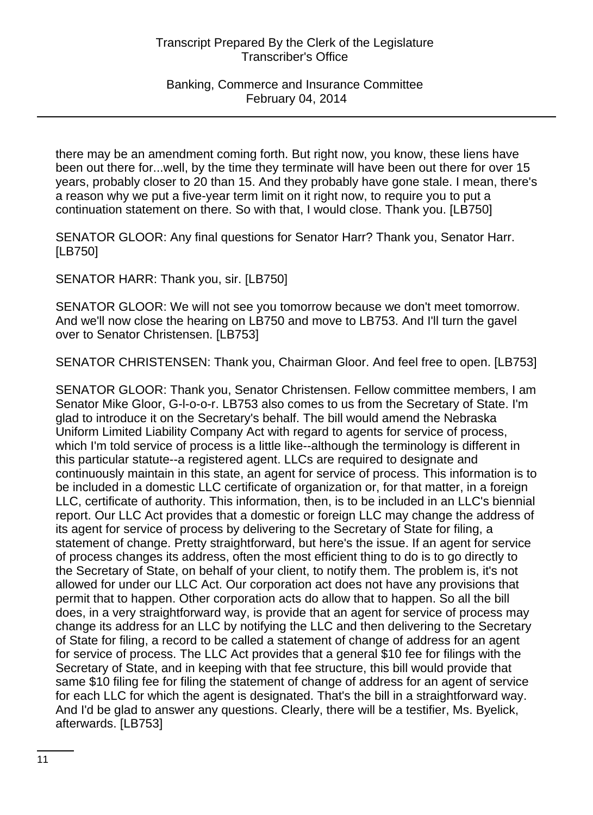there may be an amendment coming forth. But right now, you know, these liens have been out there for...well, by the time they terminate will have been out there for over 15 years, probably closer to 20 than 15. And they probably have gone stale. I mean, there's a reason why we put a five-year term limit on it right now, to require you to put a continuation statement on there. So with that, I would close. Thank you. [LB750]

SENATOR GLOOR: Any final questions for Senator Harr? Thank you, Senator Harr. [LB750]

SENATOR HARR: Thank you, sir. [LB750]

SENATOR GLOOR: We will not see you tomorrow because we don't meet tomorrow. And we'll now close the hearing on LB750 and move to LB753. And I'll turn the gavel over to Senator Christensen. [LB753]

SENATOR CHRISTENSEN: Thank you, Chairman Gloor. And feel free to open. [LB753]

SENATOR GLOOR: Thank you, Senator Christensen. Fellow committee members, I am Senator Mike Gloor, G-l-o-o-r. LB753 also comes to us from the Secretary of State. I'm glad to introduce it on the Secretary's behalf. The bill would amend the Nebraska Uniform Limited Liability Company Act with regard to agents for service of process, which I'm told service of process is a little like--although the terminology is different in this particular statute--a registered agent. LLCs are required to designate and continuously maintain in this state, an agent for service of process. This information is to be included in a domestic LLC certificate of organization or, for that matter, in a foreign LLC, certificate of authority. This information, then, is to be included in an LLC's biennial report. Our LLC Act provides that a domestic or foreign LLC may change the address of its agent for service of process by delivering to the Secretary of State for filing, a statement of change. Pretty straightforward, but here's the issue. If an agent for service of process changes its address, often the most efficient thing to do is to go directly to the Secretary of State, on behalf of your client, to notify them. The problem is, it's not allowed for under our LLC Act. Our corporation act does not have any provisions that permit that to happen. Other corporation acts do allow that to happen. So all the bill does, in a very straightforward way, is provide that an agent for service of process may change its address for an LLC by notifying the LLC and then delivering to the Secretary of State for filing, a record to be called a statement of change of address for an agent for service of process. The LLC Act provides that a general \$10 fee for filings with the Secretary of State, and in keeping with that fee structure, this bill would provide that same \$10 filing fee for filing the statement of change of address for an agent of service for each LLC for which the agent is designated. That's the bill in a straightforward way. And I'd be glad to answer any questions. Clearly, there will be a testifier, Ms. Byelick, afterwards. [LB753]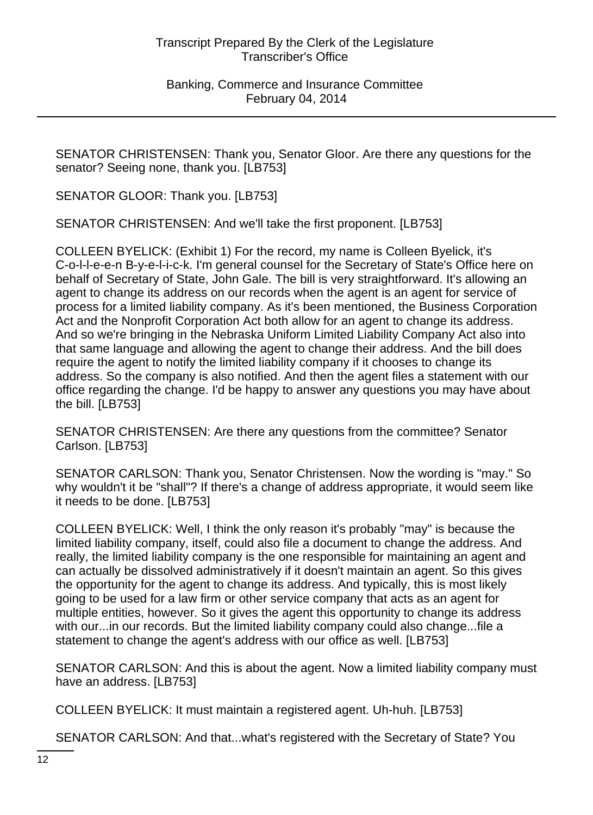SENATOR CHRISTENSEN: Thank you, Senator Gloor. Are there any questions for the senator? Seeing none, thank you. [LB753]

SENATOR GLOOR: Thank you. [LB753]

SENATOR CHRISTENSEN: And we'll take the first proponent. [LB753]

COLLEEN BYELICK: (Exhibit 1) For the record, my name is Colleen Byelick, it's C-o-l-l-e-e-n B-y-e-l-i-c-k. I'm general counsel for the Secretary of State's Office here on behalf of Secretary of State, John Gale. The bill is very straightforward. It's allowing an agent to change its address on our records when the agent is an agent for service of process for a limited liability company. As it's been mentioned, the Business Corporation Act and the Nonprofit Corporation Act both allow for an agent to change its address. And so we're bringing in the Nebraska Uniform Limited Liability Company Act also into that same language and allowing the agent to change their address. And the bill does require the agent to notify the limited liability company if it chooses to change its address. So the company is also notified. And then the agent files a statement with our office regarding the change. I'd be happy to answer any questions you may have about the bill. [LB753]

SENATOR CHRISTENSEN: Are there any questions from the committee? Senator Carlson. [LB753]

SENATOR CARLSON: Thank you, Senator Christensen. Now the wording is "may." So why wouldn't it be "shall"? If there's a change of address appropriate, it would seem like it needs to be done. [LB753]

COLLEEN BYELICK: Well, I think the only reason it's probably "may" is because the limited liability company, itself, could also file a document to change the address. And really, the limited liability company is the one responsible for maintaining an agent and can actually be dissolved administratively if it doesn't maintain an agent. So this gives the opportunity for the agent to change its address. And typically, this is most likely going to be used for a law firm or other service company that acts as an agent for multiple entities, however. So it gives the agent this opportunity to change its address with our...in our records. But the limited liability company could also change...file a statement to change the agent's address with our office as well. [LB753]

SENATOR CARLSON: And this is about the agent. Now a limited liability company must have an address. [LB753]

COLLEEN BYELICK: It must maintain a registered agent. Uh-huh. [LB753]

SENATOR CARLSON: And that...what's registered with the Secretary of State? You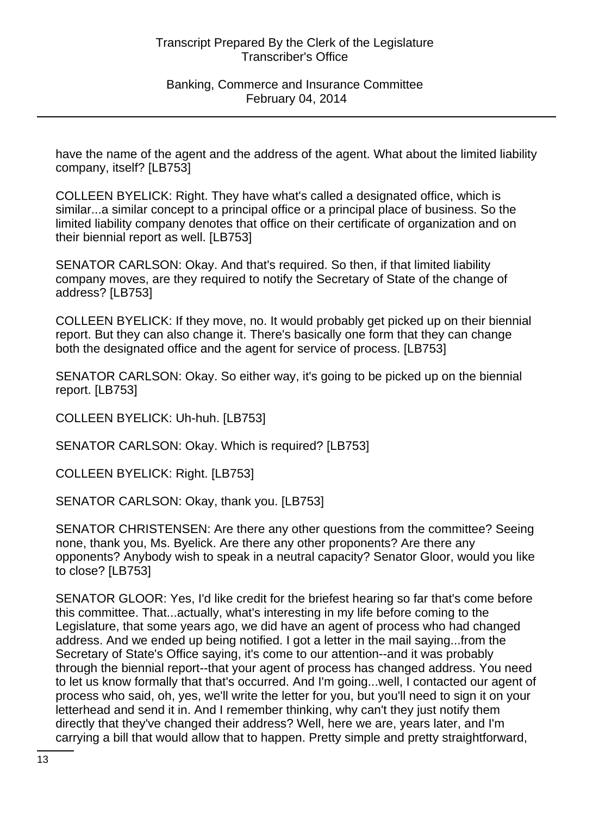have the name of the agent and the address of the agent. What about the limited liability company, itself? [LB753]

COLLEEN BYELICK: Right. They have what's called a designated office, which is similar...a similar concept to a principal office or a principal place of business. So the limited liability company denotes that office on their certificate of organization and on their biennial report as well. [LB753]

SENATOR CARLSON: Okay. And that's required. So then, if that limited liability company moves, are they required to notify the Secretary of State of the change of address? [LB753]

COLLEEN BYELICK: If they move, no. It would probably get picked up on their biennial report. But they can also change it. There's basically one form that they can change both the designated office and the agent for service of process. [LB753]

SENATOR CARLSON: Okay. So either way, it's going to be picked up on the biennial report. [LB753]

COLLEEN BYELICK: Uh-huh. [LB753]

SENATOR CARLSON: Okay. Which is required? [LB753]

COLLEEN BYELICK: Right. [LB753]

SENATOR CARLSON: Okay, thank you. [LB753]

SENATOR CHRISTENSEN: Are there any other questions from the committee? Seeing none, thank you, Ms. Byelick. Are there any other proponents? Are there any opponents? Anybody wish to speak in a neutral capacity? Senator Gloor, would you like to close? [LB753]

SENATOR GLOOR: Yes, I'd like credit for the briefest hearing so far that's come before this committee. That...actually, what's interesting in my life before coming to the Legislature, that some years ago, we did have an agent of process who had changed address. And we ended up being notified. I got a letter in the mail saying...from the Secretary of State's Office saying, it's come to our attention--and it was probably through the biennial report--that your agent of process has changed address. You need to let us know formally that that's occurred. And I'm going...well, I contacted our agent of process who said, oh, yes, we'll write the letter for you, but you'll need to sign it on your letterhead and send it in. And I remember thinking, why can't they just notify them directly that they've changed their address? Well, here we are, years later, and I'm carrying a bill that would allow that to happen. Pretty simple and pretty straightforward,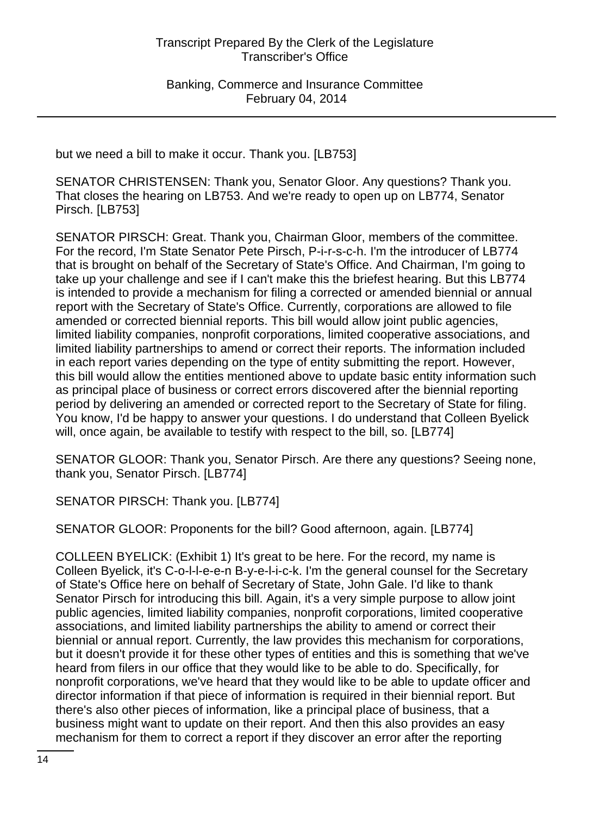but we need a bill to make it occur. Thank you. [LB753]

SENATOR CHRISTENSEN: Thank you, Senator Gloor. Any questions? Thank you. That closes the hearing on LB753. And we're ready to open up on LB774, Senator Pirsch. [LB753]

SENATOR PIRSCH: Great. Thank you, Chairman Gloor, members of the committee. For the record, I'm State Senator Pete Pirsch, P-i-r-s-c-h. I'm the introducer of LB774 that is brought on behalf of the Secretary of State's Office. And Chairman, I'm going to take up your challenge and see if I can't make this the briefest hearing. But this LB774 is intended to provide a mechanism for filing a corrected or amended biennial or annual report with the Secretary of State's Office. Currently, corporations are allowed to file amended or corrected biennial reports. This bill would allow joint public agencies, limited liability companies, nonprofit corporations, limited cooperative associations, and limited liability partnerships to amend or correct their reports. The information included in each report varies depending on the type of entity submitting the report. However, this bill would allow the entities mentioned above to update basic entity information such as principal place of business or correct errors discovered after the biennial reporting period by delivering an amended or corrected report to the Secretary of State for filing. You know, I'd be happy to answer your questions. I do understand that Colleen Byelick will, once again, be available to testify with respect to the bill, so. [LB774]

SENATOR GLOOR: Thank you, Senator Pirsch. Are there any questions? Seeing none, thank you, Senator Pirsch. [LB774]

SENATOR PIRSCH: Thank you. [LB774]

SENATOR GLOOR: Proponents for the bill? Good afternoon, again. [LB774]

COLLEEN BYELICK: (Exhibit 1) It's great to be here. For the record, my name is Colleen Byelick, it's C-o-l-l-e-e-n B-y-e-l-i-c-k. I'm the general counsel for the Secretary of State's Office here on behalf of Secretary of State, John Gale. I'd like to thank Senator Pirsch for introducing this bill. Again, it's a very simple purpose to allow joint public agencies, limited liability companies, nonprofit corporations, limited cooperative associations, and limited liability partnerships the ability to amend or correct their biennial or annual report. Currently, the law provides this mechanism for corporations, but it doesn't provide it for these other types of entities and this is something that we've heard from filers in our office that they would like to be able to do. Specifically, for nonprofit corporations, we've heard that they would like to be able to update officer and director information if that piece of information is required in their biennial report. But there's also other pieces of information, like a principal place of business, that a business might want to update on their report. And then this also provides an easy mechanism for them to correct a report if they discover an error after the reporting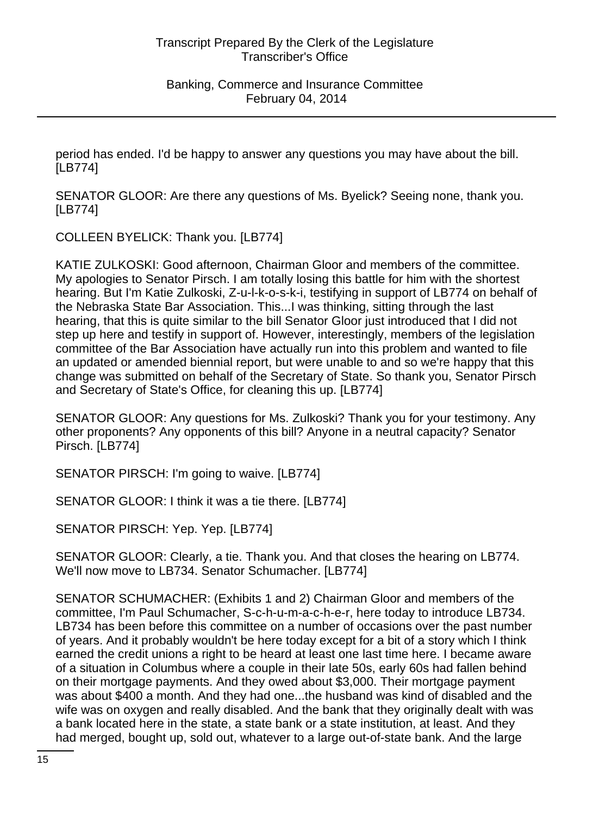period has ended. I'd be happy to answer any questions you may have about the bill. [LB774]

SENATOR GLOOR: Are there any questions of Ms. Byelick? Seeing none, thank you. [LB774]

COLLEEN BYELICK: Thank you. [LB774]

KATIE ZULKOSKI: Good afternoon, Chairman Gloor and members of the committee. My apologies to Senator Pirsch. I am totally losing this battle for him with the shortest hearing. But I'm Katie Zulkoski, Z-u-l-k-o-s-k-i, testifying in support of LB774 on behalf of the Nebraska State Bar Association. This...I was thinking, sitting through the last hearing, that this is quite similar to the bill Senator Gloor just introduced that I did not step up here and testify in support of. However, interestingly, members of the legislation committee of the Bar Association have actually run into this problem and wanted to file an updated or amended biennial report, but were unable to and so we're happy that this change was submitted on behalf of the Secretary of State. So thank you, Senator Pirsch and Secretary of State's Office, for cleaning this up. [LB774]

SENATOR GLOOR: Any questions for Ms. Zulkoski? Thank you for your testimony. Any other proponents? Any opponents of this bill? Anyone in a neutral capacity? Senator Pirsch. [LB774]

SENATOR PIRSCH: I'm going to waive. [LB774]

SENATOR GLOOR: I think it was a tie there. [LB774]

SENATOR PIRSCH: Yep. Yep. [LB774]

SENATOR GLOOR: Clearly, a tie. Thank you. And that closes the hearing on LB774. We'll now move to LB734. Senator Schumacher. [LB774]

SENATOR SCHUMACHER: (Exhibits 1 and 2) Chairman Gloor and members of the committee, I'm Paul Schumacher, S-c-h-u-m-a-c-h-e-r, here today to introduce LB734. LB734 has been before this committee on a number of occasions over the past number of years. And it probably wouldn't be here today except for a bit of a story which I think earned the credit unions a right to be heard at least one last time here. I became aware of a situation in Columbus where a couple in their late 50s, early 60s had fallen behind on their mortgage payments. And they owed about \$3,000. Their mortgage payment was about \$400 a month. And they had one...the husband was kind of disabled and the wife was on oxygen and really disabled. And the bank that they originally dealt with was a bank located here in the state, a state bank or a state institution, at least. And they had merged, bought up, sold out, whatever to a large out-of-state bank. And the large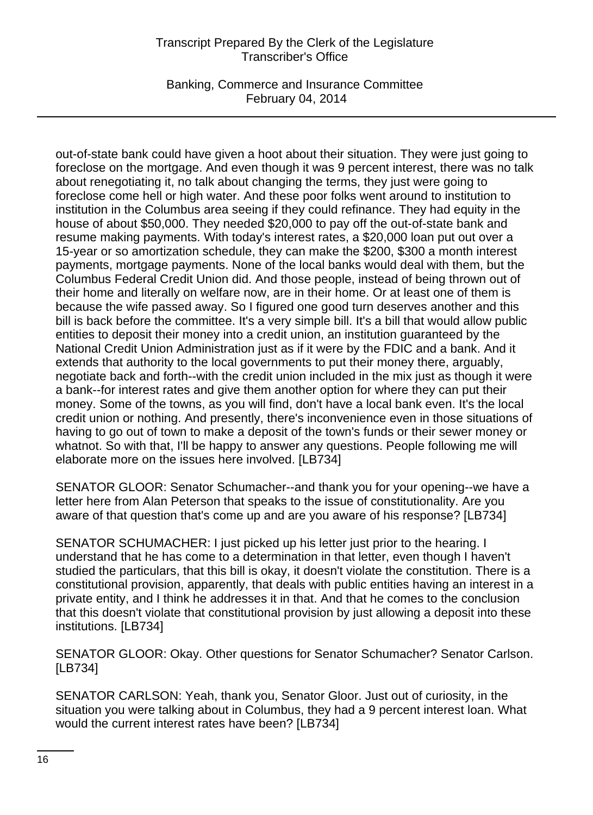Banking, Commerce and Insurance Committee February 04, 2014

out-of-state bank could have given a hoot about their situation. They were just going to foreclose on the mortgage. And even though it was 9 percent interest, there was no talk about renegotiating it, no talk about changing the terms, they just were going to foreclose come hell or high water. And these poor folks went around to institution to institution in the Columbus area seeing if they could refinance. They had equity in the house of about \$50,000. They needed \$20,000 to pay off the out-of-state bank and resume making payments. With today's interest rates, a \$20,000 loan put out over a 15-year or so amortization schedule, they can make the \$200, \$300 a month interest payments, mortgage payments. None of the local banks would deal with them, but the Columbus Federal Credit Union did. And those people, instead of being thrown out of their home and literally on welfare now, are in their home. Or at least one of them is because the wife passed away. So I figured one good turn deserves another and this bill is back before the committee. It's a very simple bill. It's a bill that would allow public entities to deposit their money into a credit union, an institution guaranteed by the National Credit Union Administration just as if it were by the FDIC and a bank. And it extends that authority to the local governments to put their money there, arguably, negotiate back and forth--with the credit union included in the mix just as though it were a bank--for interest rates and give them another option for where they can put their money. Some of the towns, as you will find, don't have a local bank even. It's the local credit union or nothing. And presently, there's inconvenience even in those situations of having to go out of town to make a deposit of the town's funds or their sewer money or whatnot. So with that, I'll be happy to answer any questions. People following me will elaborate more on the issues here involved. [LB734]

SENATOR GLOOR: Senator Schumacher--and thank you for your opening--we have a letter here from Alan Peterson that speaks to the issue of constitutionality. Are you aware of that question that's come up and are you aware of his response? [LB734]

SENATOR SCHUMACHER: I just picked up his letter just prior to the hearing. I understand that he has come to a determination in that letter, even though I haven't studied the particulars, that this bill is okay, it doesn't violate the constitution. There is a constitutional provision, apparently, that deals with public entities having an interest in a private entity, and I think he addresses it in that. And that he comes to the conclusion that this doesn't violate that constitutional provision by just allowing a deposit into these institutions. [LB734]

SENATOR GLOOR: Okay. Other questions for Senator Schumacher? Senator Carlson. [LB734]

SENATOR CARLSON: Yeah, thank you, Senator Gloor. Just out of curiosity, in the situation you were talking about in Columbus, they had a 9 percent interest loan. What would the current interest rates have been? [LB734]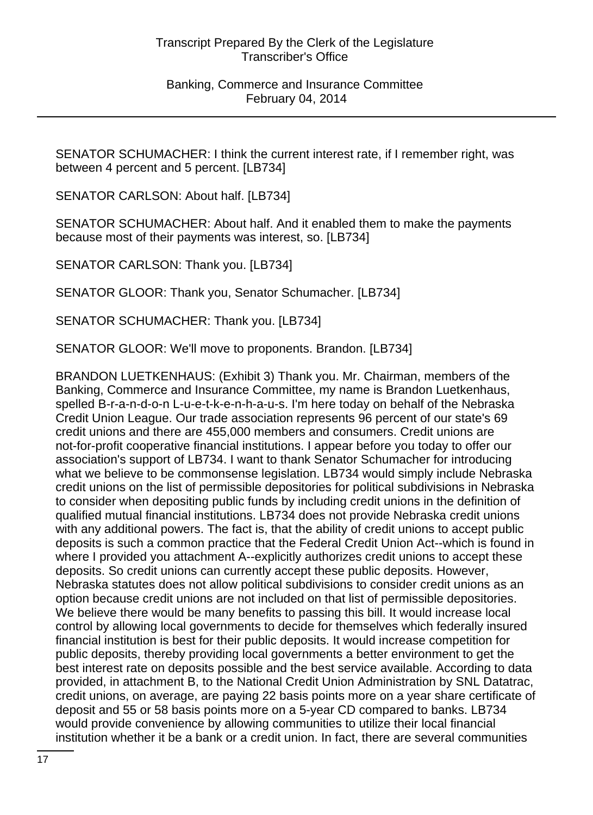SENATOR SCHUMACHER: I think the current interest rate, if I remember right, was between 4 percent and 5 percent. [LB734]

SENATOR CARLSON: About half. [LB734]

SENATOR SCHUMACHER: About half. And it enabled them to make the payments because most of their payments was interest, so. [LB734]

SENATOR CARLSON: Thank you. [LB734]

SENATOR GLOOR: Thank you, Senator Schumacher. [LB734]

SENATOR SCHUMACHER: Thank you. [LB734]

SENATOR GLOOR: We'll move to proponents. Brandon. [LB734]

BRANDON LUETKENHAUS: (Exhibit 3) Thank you. Mr. Chairman, members of the Banking, Commerce and Insurance Committee, my name is Brandon Luetkenhaus, spelled B-r-a-n-d-o-n L-u-e-t-k-e-n-h-a-u-s. I'm here today on behalf of the Nebraska Credit Union League. Our trade association represents 96 percent of our state's 69 credit unions and there are 455,000 members and consumers. Credit unions are not-for-profit cooperative financial institutions. I appear before you today to offer our association's support of LB734. I want to thank Senator Schumacher for introducing what we believe to be commonsense legislation. LB734 would simply include Nebraska credit unions on the list of permissible depositories for political subdivisions in Nebraska to consider when depositing public funds by including credit unions in the definition of qualified mutual financial institutions. LB734 does not provide Nebraska credit unions with any additional powers. The fact is, that the ability of credit unions to accept public deposits is such a common practice that the Federal Credit Union Act--which is found in where I provided you attachment A--explicitly authorizes credit unions to accept these deposits. So credit unions can currently accept these public deposits. However, Nebraska statutes does not allow political subdivisions to consider credit unions as an option because credit unions are not included on that list of permissible depositories. We believe there would be many benefits to passing this bill. It would increase local control by allowing local governments to decide for themselves which federally insured financial institution is best for their public deposits. It would increase competition for public deposits, thereby providing local governments a better environment to get the best interest rate on deposits possible and the best service available. According to data provided, in attachment B, to the National Credit Union Administration by SNL Datatrac, credit unions, on average, are paying 22 basis points more on a year share certificate of deposit and 55 or 58 basis points more on a 5-year CD compared to banks. LB734 would provide convenience by allowing communities to utilize their local financial institution whether it be a bank or a credit union. In fact, there are several communities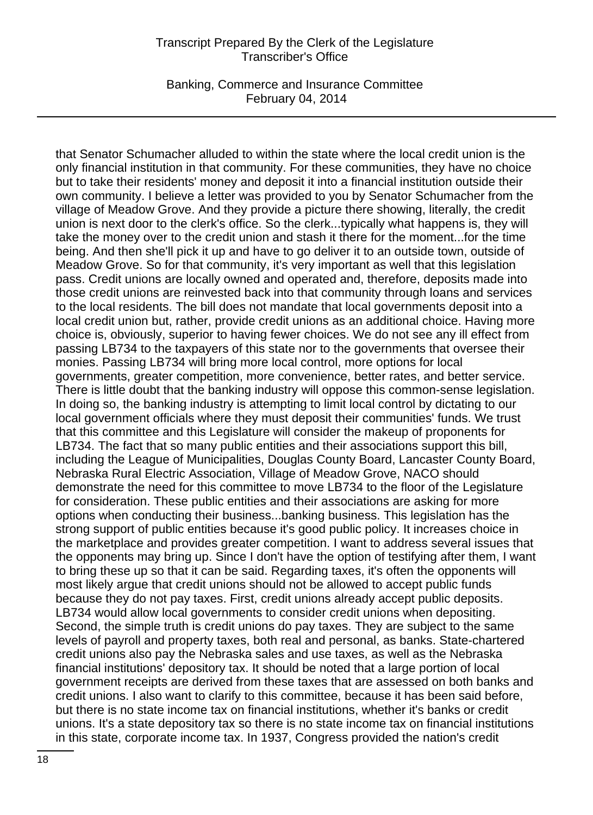Banking, Commerce and Insurance Committee February 04, 2014

that Senator Schumacher alluded to within the state where the local credit union is the only financial institution in that community. For these communities, they have no choice but to take their residents' money and deposit it into a financial institution outside their own community. I believe a letter was provided to you by Senator Schumacher from the village of Meadow Grove. And they provide a picture there showing, literally, the credit union is next door to the clerk's office. So the clerk...typically what happens is, they will take the money over to the credit union and stash it there for the moment...for the time being. And then she'll pick it up and have to go deliver it to an outside town, outside of Meadow Grove. So for that community, it's very important as well that this legislation pass. Credit unions are locally owned and operated and, therefore, deposits made into those credit unions are reinvested back into that community through loans and services to the local residents. The bill does not mandate that local governments deposit into a local credit union but, rather, provide credit unions as an additional choice. Having more choice is, obviously, superior to having fewer choices. We do not see any ill effect from passing LB734 to the taxpayers of this state nor to the governments that oversee their monies. Passing LB734 will bring more local control, more options for local governments, greater competition, more convenience, better rates, and better service. There is little doubt that the banking industry will oppose this common-sense legislation. In doing so, the banking industry is attempting to limit local control by dictating to our local government officials where they must deposit their communities' funds. We trust that this committee and this Legislature will consider the makeup of proponents for LB734. The fact that so many public entities and their associations support this bill, including the League of Municipalities, Douglas County Board, Lancaster County Board, Nebraska Rural Electric Association, Village of Meadow Grove, NACO should demonstrate the need for this committee to move LB734 to the floor of the Legislature for consideration. These public entities and their associations are asking for more options when conducting their business...banking business. This legislation has the strong support of public entities because it's good public policy. It increases choice in the marketplace and provides greater competition. I want to address several issues that the opponents may bring up. Since I don't have the option of testifying after them, I want to bring these up so that it can be said. Regarding taxes, it's often the opponents will most likely argue that credit unions should not be allowed to accept public funds because they do not pay taxes. First, credit unions already accept public deposits. LB734 would allow local governments to consider credit unions when depositing. Second, the simple truth is credit unions do pay taxes. They are subject to the same levels of payroll and property taxes, both real and personal, as banks. State-chartered credit unions also pay the Nebraska sales and use taxes, as well as the Nebraska financial institutions' depository tax. It should be noted that a large portion of local government receipts are derived from these taxes that are assessed on both banks and credit unions. I also want to clarify to this committee, because it has been said before, but there is no state income tax on financial institutions, whether it's banks or credit unions. It's a state depository tax so there is no state income tax on financial institutions in this state, corporate income tax. In 1937, Congress provided the nation's credit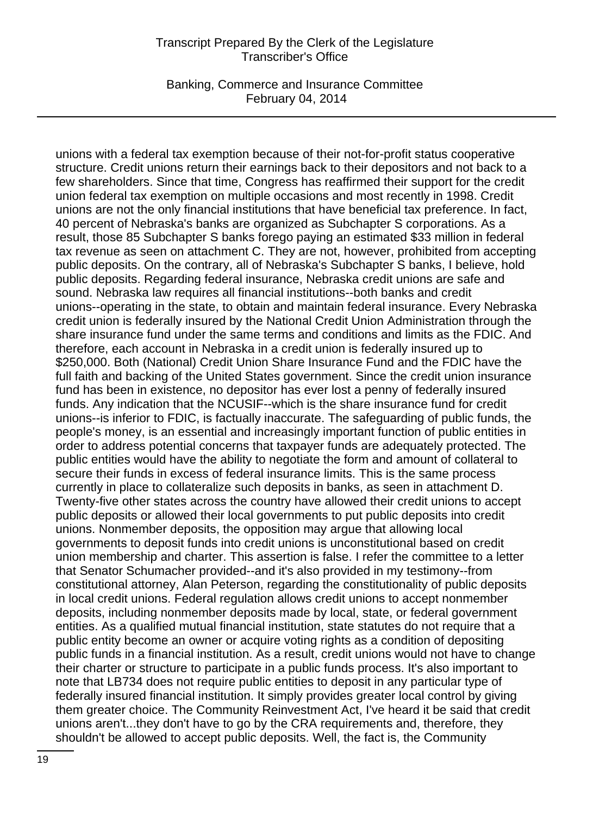Banking, Commerce and Insurance Committee February 04, 2014

unions with a federal tax exemption because of their not-for-profit status cooperative structure. Credit unions return their earnings back to their depositors and not back to a few shareholders. Since that time, Congress has reaffirmed their support for the credit union federal tax exemption on multiple occasions and most recently in 1998. Credit unions are not the only financial institutions that have beneficial tax preference. In fact, 40 percent of Nebraska's banks are organized as Subchapter S corporations. As a result, those 85 Subchapter S banks forego paying an estimated \$33 million in federal tax revenue as seen on attachment C. They are not, however, prohibited from accepting public deposits. On the contrary, all of Nebraska's Subchapter S banks, I believe, hold public deposits. Regarding federal insurance, Nebraska credit unions are safe and sound. Nebraska law requires all financial institutions--both banks and credit unions--operating in the state, to obtain and maintain federal insurance. Every Nebraska credit union is federally insured by the National Credit Union Administration through the share insurance fund under the same terms and conditions and limits as the FDIC. And therefore, each account in Nebraska in a credit union is federally insured up to \$250,000. Both (National) Credit Union Share Insurance Fund and the FDIC have the full faith and backing of the United States government. Since the credit union insurance fund has been in existence, no depositor has ever lost a penny of federally insured funds. Any indication that the NCUSIF--which is the share insurance fund for credit unions--is inferior to FDIC, is factually inaccurate. The safeguarding of public funds, the people's money, is an essential and increasingly important function of public entities in order to address potential concerns that taxpayer funds are adequately protected. The public entities would have the ability to negotiate the form and amount of collateral to secure their funds in excess of federal insurance limits. This is the same process currently in place to collateralize such deposits in banks, as seen in attachment D. Twenty-five other states across the country have allowed their credit unions to accept public deposits or allowed their local governments to put public deposits into credit unions. Nonmember deposits, the opposition may argue that allowing local governments to deposit funds into credit unions is unconstitutional based on credit union membership and charter. This assertion is false. I refer the committee to a letter that Senator Schumacher provided--and it's also provided in my testimony--from constitutional attorney, Alan Peterson, regarding the constitutionality of public deposits in local credit unions. Federal regulation allows credit unions to accept nonmember deposits, including nonmember deposits made by local, state, or federal government entities. As a qualified mutual financial institution, state statutes do not require that a public entity become an owner or acquire voting rights as a condition of depositing public funds in a financial institution. As a result, credit unions would not have to change their charter or structure to participate in a public funds process. It's also important to note that LB734 does not require public entities to deposit in any particular type of federally insured financial institution. It simply provides greater local control by giving them greater choice. The Community Reinvestment Act, I've heard it be said that credit unions aren't...they don't have to go by the CRA requirements and, therefore, they shouldn't be allowed to accept public deposits. Well, the fact is, the Community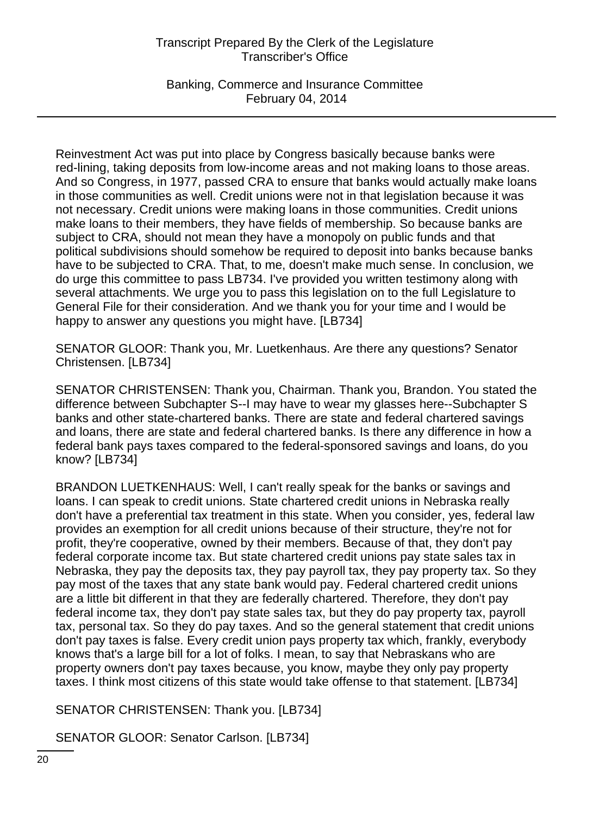Banking, Commerce and Insurance Committee February 04, 2014

Reinvestment Act was put into place by Congress basically because banks were red-lining, taking deposits from low-income areas and not making loans to those areas. And so Congress, in 1977, passed CRA to ensure that banks would actually make loans in those communities as well. Credit unions were not in that legislation because it was not necessary. Credit unions were making loans in those communities. Credit unions make loans to their members, they have fields of membership. So because banks are subject to CRA, should not mean they have a monopoly on public funds and that political subdivisions should somehow be required to deposit into banks because banks have to be subjected to CRA. That, to me, doesn't make much sense. In conclusion, we do urge this committee to pass LB734. I've provided you written testimony along with several attachments. We urge you to pass this legislation on to the full Legislature to General File for their consideration. And we thank you for your time and I would be happy to answer any questions you might have. [LB734]

SENATOR GLOOR: Thank you, Mr. Luetkenhaus. Are there any questions? Senator Christensen. [LB734]

SENATOR CHRISTENSEN: Thank you, Chairman. Thank you, Brandon. You stated the difference between Subchapter S--I may have to wear my glasses here--Subchapter S banks and other state-chartered banks. There are state and federal chartered savings and loans, there are state and federal chartered banks. Is there any difference in how a federal bank pays taxes compared to the federal-sponsored savings and loans, do you know? [LB734]

BRANDON LUETKENHAUS: Well, I can't really speak for the banks or savings and loans. I can speak to credit unions. State chartered credit unions in Nebraska really don't have a preferential tax treatment in this state. When you consider, yes, federal law provides an exemption for all credit unions because of their structure, they're not for profit, they're cooperative, owned by their members. Because of that, they don't pay federal corporate income tax. But state chartered credit unions pay state sales tax in Nebraska, they pay the deposits tax, they pay payroll tax, they pay property tax. So they pay most of the taxes that any state bank would pay. Federal chartered credit unions are a little bit different in that they are federally chartered. Therefore, they don't pay federal income tax, they don't pay state sales tax, but they do pay property tax, payroll tax, personal tax. So they do pay taxes. And so the general statement that credit unions don't pay taxes is false. Every credit union pays property tax which, frankly, everybody knows that's a large bill for a lot of folks. I mean, to say that Nebraskans who are property owners don't pay taxes because, you know, maybe they only pay property taxes. I think most citizens of this state would take offense to that statement. [LB734]

SENATOR CHRISTENSEN: Thank you. [LB734]

SENATOR GLOOR: Senator Carlson. [LB734]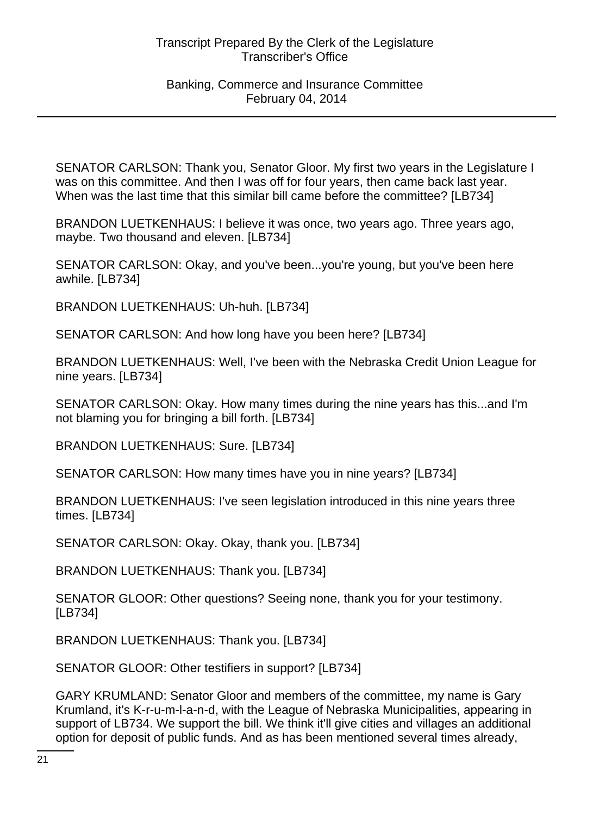SENATOR CARLSON: Thank you, Senator Gloor. My first two years in the Legislature I was on this committee. And then I was off for four years, then came back last year. When was the last time that this similar bill came before the committee? [LB734]

BRANDON LUETKENHAUS: I believe it was once, two years ago. Three years ago, maybe. Two thousand and eleven. [LB734]

SENATOR CARLSON: Okay, and you've been...you're young, but you've been here awhile. [LB734]

BRANDON LUETKENHAUS: Uh-huh. [LB734]

SENATOR CARLSON: And how long have you been here? [LB734]

BRANDON LUETKENHAUS: Well, I've been with the Nebraska Credit Union League for nine years. [LB734]

SENATOR CARLSON: Okay. How many times during the nine years has this...and I'm not blaming you for bringing a bill forth. [LB734]

BRANDON LUETKENHAUS: Sure. [LB734]

SENATOR CARLSON: How many times have you in nine years? [LB734]

BRANDON LUETKENHAUS: I've seen legislation introduced in this nine years three times. [LB734]

SENATOR CARLSON: Okay. Okay, thank you. [LB734]

BRANDON LUETKENHAUS: Thank you. [LB734]

SENATOR GLOOR: Other questions? Seeing none, thank you for your testimony. [LB734]

BRANDON LUETKENHAUS: Thank you. [LB734]

SENATOR GLOOR: Other testifiers in support? [LB734]

GARY KRUMLAND: Senator Gloor and members of the committee, my name is Gary Krumland, it's K-r-u-m-l-a-n-d, with the League of Nebraska Municipalities, appearing in support of LB734. We support the bill. We think it'll give cities and villages an additional option for deposit of public funds. And as has been mentioned several times already,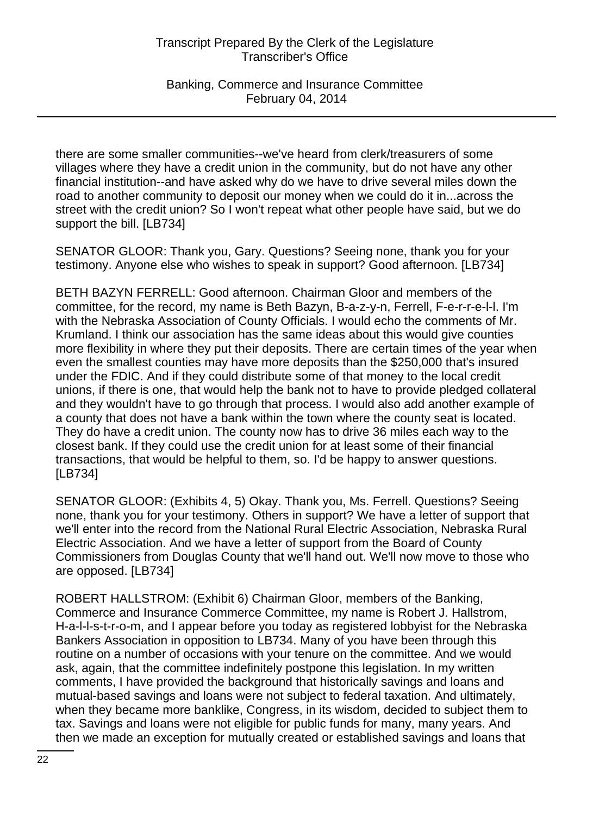Banking, Commerce and Insurance Committee February 04, 2014

there are some smaller communities--we've heard from clerk/treasurers of some villages where they have a credit union in the community, but do not have any other financial institution--and have asked why do we have to drive several miles down the road to another community to deposit our money when we could do it in...across the street with the credit union? So I won't repeat what other people have said, but we do support the bill. [LB734]

SENATOR GLOOR: Thank you, Gary. Questions? Seeing none, thank you for your testimony. Anyone else who wishes to speak in support? Good afternoon. [LB734]

BETH BAZYN FERRELL: Good afternoon. Chairman Gloor and members of the committee, for the record, my name is Beth Bazyn, B-a-z-y-n, Ferrell, F-e-r-r-e-l-l. I'm with the Nebraska Association of County Officials. I would echo the comments of Mr. Krumland. I think our association has the same ideas about this would give counties more flexibility in where they put their deposits. There are certain times of the year when even the smallest counties may have more deposits than the \$250,000 that's insured under the FDIC. And if they could distribute some of that money to the local credit unions, if there is one, that would help the bank not to have to provide pledged collateral and they wouldn't have to go through that process. I would also add another example of a county that does not have a bank within the town where the county seat is located. They do have a credit union. The county now has to drive 36 miles each way to the closest bank. If they could use the credit union for at least some of their financial transactions, that would be helpful to them, so. I'd be happy to answer questions. [LB734]

SENATOR GLOOR: (Exhibits 4, 5) Okay. Thank you, Ms. Ferrell. Questions? Seeing none, thank you for your testimony. Others in support? We have a letter of support that we'll enter into the record from the National Rural Electric Association, Nebraska Rural Electric Association. And we have a letter of support from the Board of County Commissioners from Douglas County that we'll hand out. We'll now move to those who are opposed. [LB734]

ROBERT HALLSTROM: (Exhibit 6) Chairman Gloor, members of the Banking, Commerce and Insurance Commerce Committee, my name is Robert J. Hallstrom, H-a-l-l-s-t-r-o-m, and I appear before you today as registered lobbyist for the Nebraska Bankers Association in opposition to LB734. Many of you have been through this routine on a number of occasions with your tenure on the committee. And we would ask, again, that the committee indefinitely postpone this legislation. In my written comments, I have provided the background that historically savings and loans and mutual-based savings and loans were not subject to federal taxation. And ultimately, when they became more banklike, Congress, in its wisdom, decided to subject them to tax. Savings and loans were not eligible for public funds for many, many years. And then we made an exception for mutually created or established savings and loans that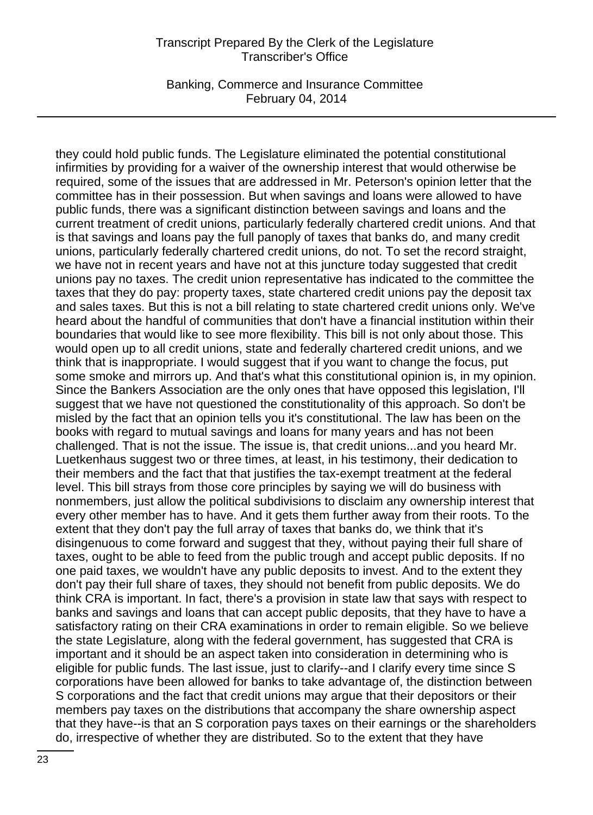Banking, Commerce and Insurance Committee February 04, 2014

they could hold public funds. The Legislature eliminated the potential constitutional infirmities by providing for a waiver of the ownership interest that would otherwise be required, some of the issues that are addressed in Mr. Peterson's opinion letter that the committee has in their possession. But when savings and loans were allowed to have public funds, there was a significant distinction between savings and loans and the current treatment of credit unions, particularly federally chartered credit unions. And that is that savings and loans pay the full panoply of taxes that banks do, and many credit unions, particularly federally chartered credit unions, do not. To set the record straight, we have not in recent years and have not at this juncture today suggested that credit unions pay no taxes. The credit union representative has indicated to the committee the taxes that they do pay: property taxes, state chartered credit unions pay the deposit tax and sales taxes. But this is not a bill relating to state chartered credit unions only. We've heard about the handful of communities that don't have a financial institution within their boundaries that would like to see more flexibility. This bill is not only about those. This would open up to all credit unions, state and federally chartered credit unions, and we think that is inappropriate. I would suggest that if you want to change the focus, put some smoke and mirrors up. And that's what this constitutional opinion is, in my opinion. Since the Bankers Association are the only ones that have opposed this legislation, I'll suggest that we have not questioned the constitutionality of this approach. So don't be misled by the fact that an opinion tells you it's constitutional. The law has been on the books with regard to mutual savings and loans for many years and has not been challenged. That is not the issue. The issue is, that credit unions...and you heard Mr. Luetkenhaus suggest two or three times, at least, in his testimony, their dedication to their members and the fact that that justifies the tax-exempt treatment at the federal level. This bill strays from those core principles by saying we will do business with nonmembers, just allow the political subdivisions to disclaim any ownership interest that every other member has to have. And it gets them further away from their roots. To the extent that they don't pay the full array of taxes that banks do, we think that it's disingenuous to come forward and suggest that they, without paying their full share of taxes, ought to be able to feed from the public trough and accept public deposits. If no one paid taxes, we wouldn't have any public deposits to invest. And to the extent they don't pay their full share of taxes, they should not benefit from public deposits. We do think CRA is important. In fact, there's a provision in state law that says with respect to banks and savings and loans that can accept public deposits, that they have to have a satisfactory rating on their CRA examinations in order to remain eligible. So we believe the state Legislature, along with the federal government, has suggested that CRA is important and it should be an aspect taken into consideration in determining who is eligible for public funds. The last issue, just to clarify--and I clarify every time since S corporations have been allowed for banks to take advantage of, the distinction between S corporations and the fact that credit unions may argue that their depositors or their members pay taxes on the distributions that accompany the share ownership aspect that they have--is that an S corporation pays taxes on their earnings or the shareholders do, irrespective of whether they are distributed. So to the extent that they have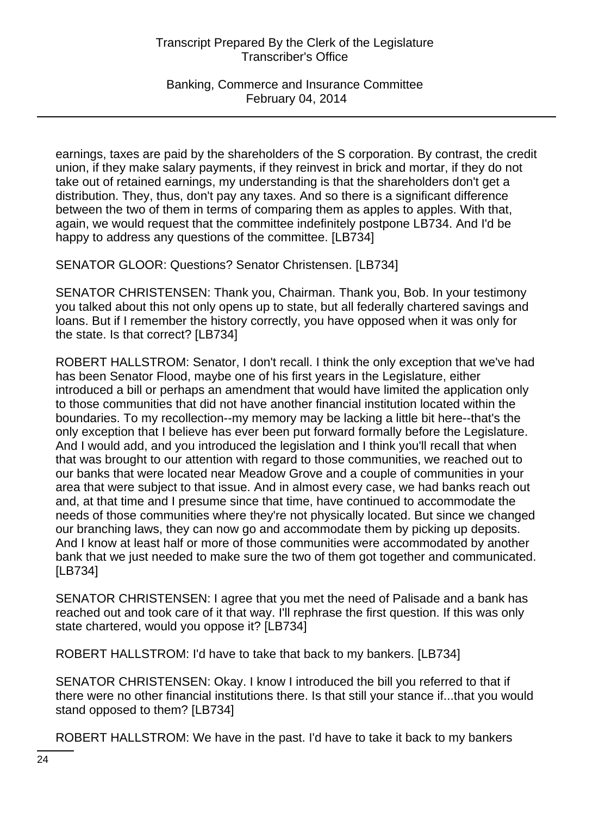Banking, Commerce and Insurance Committee February 04, 2014

earnings, taxes are paid by the shareholders of the S corporation. By contrast, the credit union, if they make salary payments, if they reinvest in brick and mortar, if they do not take out of retained earnings, my understanding is that the shareholders don't get a distribution. They, thus, don't pay any taxes. And so there is a significant difference between the two of them in terms of comparing them as apples to apples. With that, again, we would request that the committee indefinitely postpone LB734. And I'd be happy to address any questions of the committee. [LB734]

SENATOR GLOOR: Questions? Senator Christensen. [LB734]

SENATOR CHRISTENSEN: Thank you, Chairman. Thank you, Bob. In your testimony you talked about this not only opens up to state, but all federally chartered savings and loans. But if I remember the history correctly, you have opposed when it was only for the state. Is that correct? [LB734]

ROBERT HALLSTROM: Senator, I don't recall. I think the only exception that we've had has been Senator Flood, maybe one of his first years in the Legislature, either introduced a bill or perhaps an amendment that would have limited the application only to those communities that did not have another financial institution located within the boundaries. To my recollection--my memory may be lacking a little bit here--that's the only exception that I believe has ever been put forward formally before the Legislature. And I would add, and you introduced the legislation and I think you'll recall that when that was brought to our attention with regard to those communities, we reached out to our banks that were located near Meadow Grove and a couple of communities in your area that were subject to that issue. And in almost every case, we had banks reach out and, at that time and I presume since that time, have continued to accommodate the needs of those communities where they're not physically located. But since we changed our branching laws, they can now go and accommodate them by picking up deposits. And I know at least half or more of those communities were accommodated by another bank that we just needed to make sure the two of them got together and communicated. [LB734]

SENATOR CHRISTENSEN: I agree that you met the need of Palisade and a bank has reached out and took care of it that way. I'll rephrase the first question. If this was only state chartered, would you oppose it? [LB734]

ROBERT HALLSTROM: I'd have to take that back to my bankers. [LB734]

SENATOR CHRISTENSEN: Okay. I know I introduced the bill you referred to that if there were no other financial institutions there. Is that still your stance if...that you would stand opposed to them? [LB734]

ROBERT HALLSTROM: We have in the past. I'd have to take it back to my bankers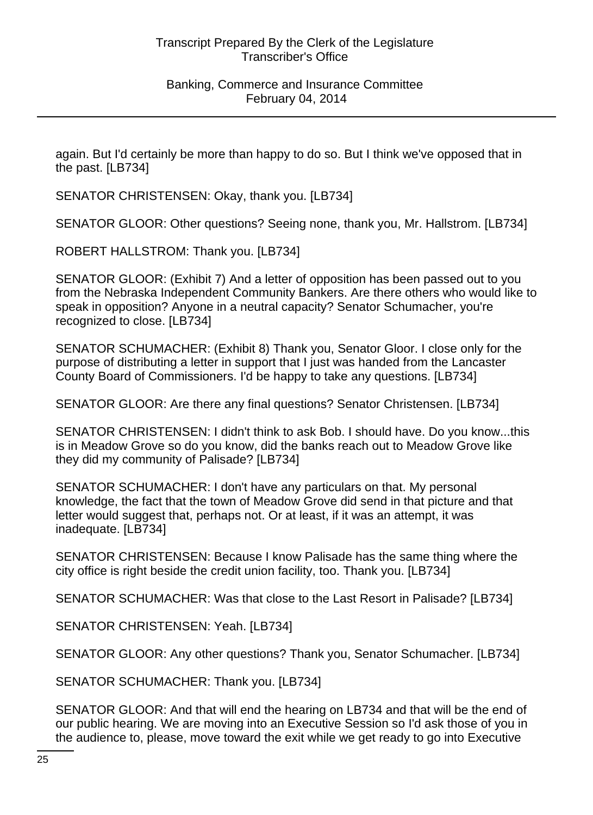again. But I'd certainly be more than happy to do so. But I think we've opposed that in the past. [LB734]

SENATOR CHRISTENSEN: Okay, thank you. [LB734]

SENATOR GLOOR: Other questions? Seeing none, thank you, Mr. Hallstrom. [LB734]

ROBERT HALLSTROM: Thank you. [LB734]

SENATOR GLOOR: (Exhibit 7) And a letter of opposition has been passed out to you from the Nebraska Independent Community Bankers. Are there others who would like to speak in opposition? Anyone in a neutral capacity? Senator Schumacher, you're recognized to close. [LB734]

SENATOR SCHUMACHER: (Exhibit 8) Thank you, Senator Gloor. I close only for the purpose of distributing a letter in support that I just was handed from the Lancaster County Board of Commissioners. I'd be happy to take any questions. [LB734]

SENATOR GLOOR: Are there any final questions? Senator Christensen. [LB734]

SENATOR CHRISTENSEN: I didn't think to ask Bob. I should have. Do you know...this is in Meadow Grove so do you know, did the banks reach out to Meadow Grove like they did my community of Palisade? [LB734]

SENATOR SCHUMACHER: I don't have any particulars on that. My personal knowledge, the fact that the town of Meadow Grove did send in that picture and that letter would suggest that, perhaps not. Or at least, if it was an attempt, it was inadequate. [LB734]

SENATOR CHRISTENSEN: Because I know Palisade has the same thing where the city office is right beside the credit union facility, too. Thank you. [LB734]

SENATOR SCHUMACHER: Was that close to the Last Resort in Palisade? [LB734]

SENATOR CHRISTENSEN: Yeah. [LB734]

SENATOR GLOOR: Any other questions? Thank you, Senator Schumacher. [LB734]

SENATOR SCHUMACHER: Thank you. [LB734]

SENATOR GLOOR: And that will end the hearing on LB734 and that will be the end of our public hearing. We are moving into an Executive Session so I'd ask those of you in the audience to, please, move toward the exit while we get ready to go into Executive